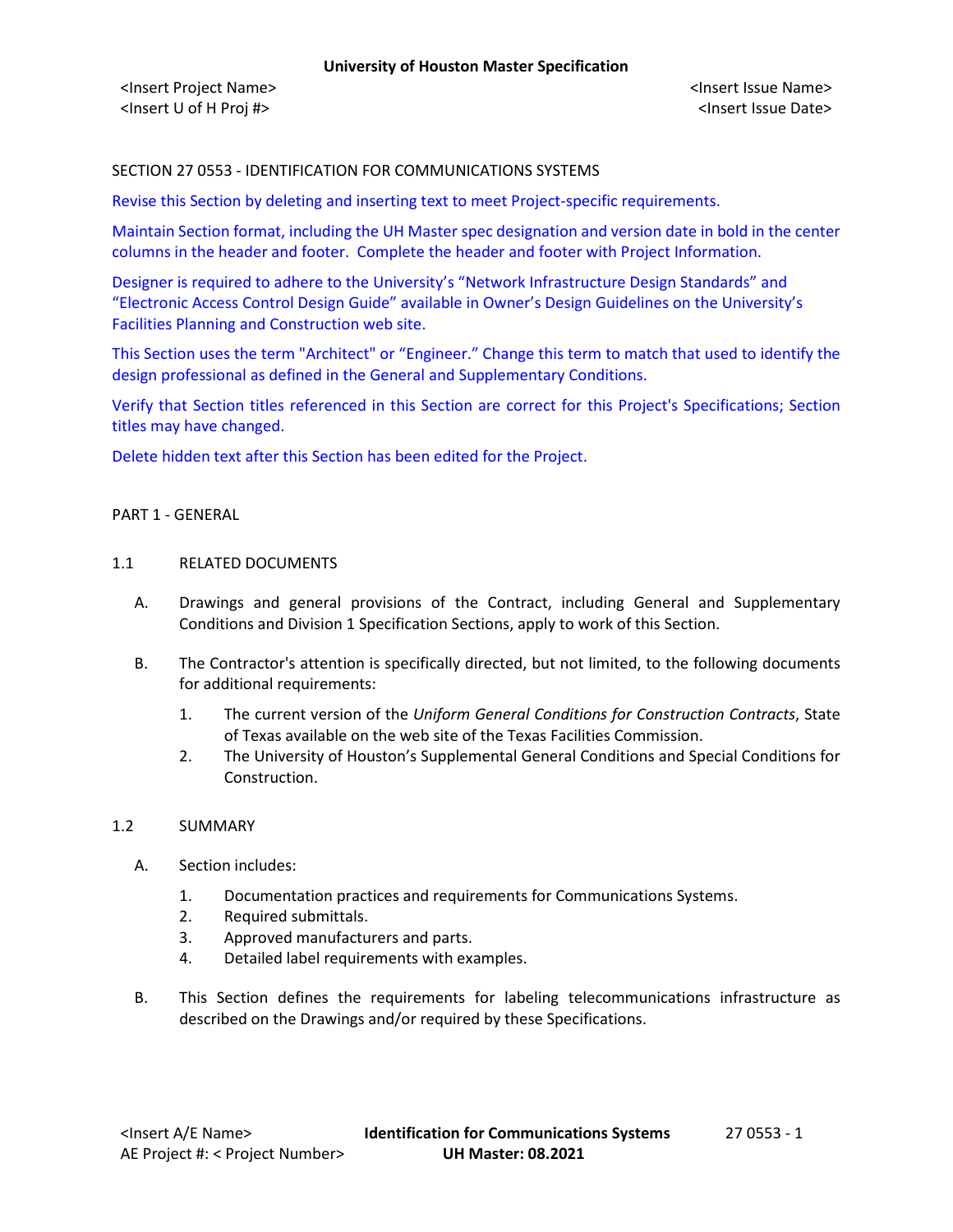## SECTION 27 0553 - IDENTIFICATION FOR COMMUNICATIONS SYSTEMS

Revise this Section by deleting and inserting text to meet Project-specific requirements.

Maintain Section format, including the UH Master spec designation and version date in bold in the center columns in the header and footer. Complete the header and footer with Project Information.

Designer is required to adhere to the University's "Network Infrastructure Design Standards" and "Electronic Access Control Design Guide" available in Owner's Design Guidelines on the University's Facilities Planning and Construction web site.

This Section uses the term "Architect" or "Engineer." Change this term to match that used to identify the design professional as defined in the General and Supplementary Conditions.

Verify that Section titles referenced in this Section are correct for this Project's Specifications; Section titles may have changed.

Delete hidden text after this Section has been edited for the Project.

### PART 1 - GENERAL

### 1.1 RELATED DOCUMENTS

- A. Drawings and general provisions of the Contract, including General and Supplementary Conditions and Division 1 Specification Sections, apply to work of this Section.
- B. The Contractor's attention is specifically directed, but not limited, to the following documents for additional requirements:
	- 1. The current version of the *Uniform General Conditions for Construction Contracts*, State of Texas available on the web site of the Texas Facilities Commission.
	- 2. The University of Houston's Supplemental General Conditions and Special Conditions for Construction.

### 1.2 SUMMARY

- A. Section includes:
	- 1. Documentation practices and requirements for Communications Systems.
	- 2. Required submittals.
	- 3. Approved manufacturers and parts.
	- 4. Detailed label requirements with examples.
- B. This Section defines the requirements for labeling telecommunications infrastructure as described on the Drawings and/or required by these Specifications.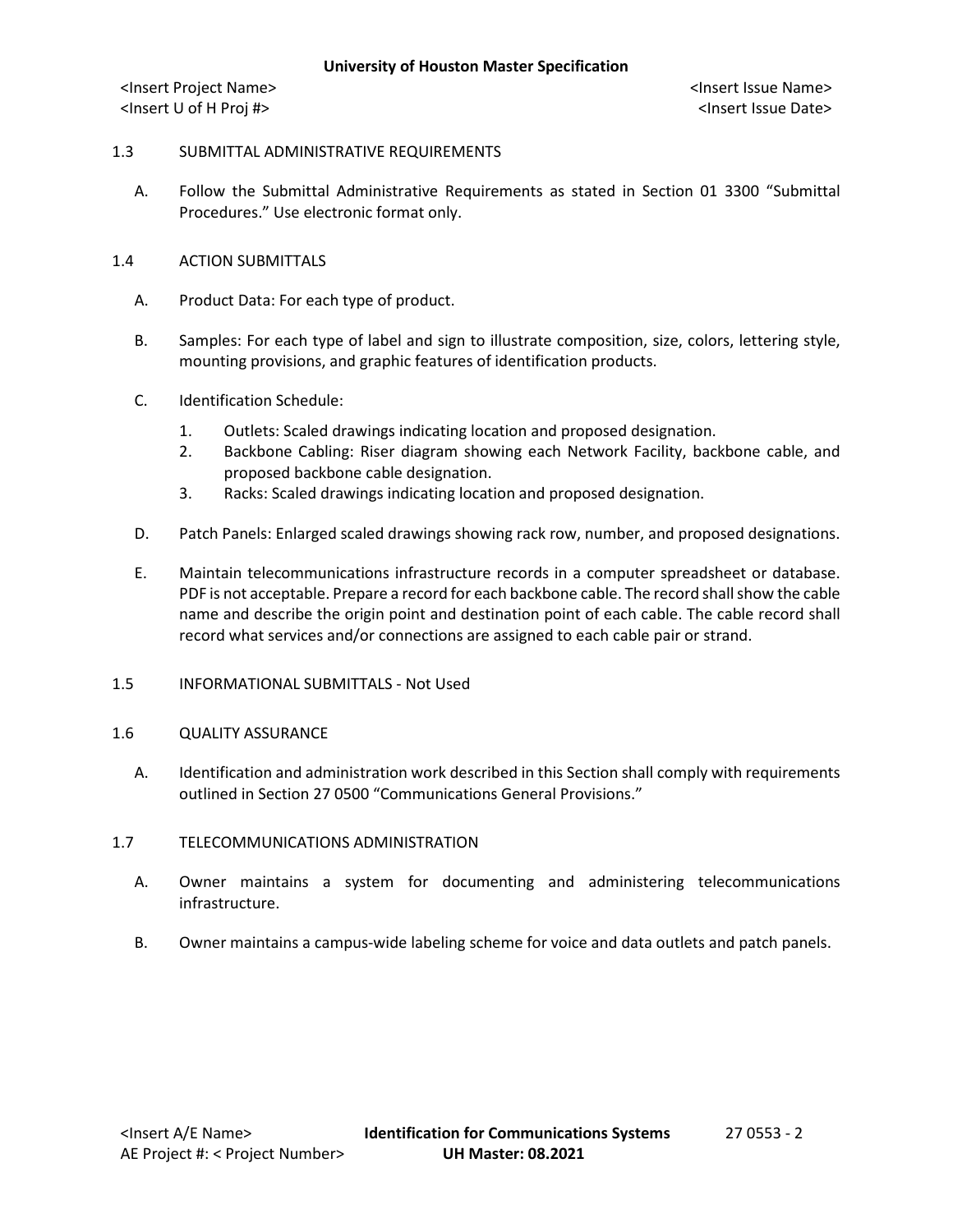### 1.3 SUBMITTAL ADMINISTRATIVE REQUIREMENTS

- A. Follow the Submittal Administrative Requirements as stated in Section 01 3300 "Submittal Procedures." Use electronic format only.
- 1.4 ACTION SUBMITTALS
	- A. Product Data: For each type of product.
	- B. Samples: For each type of label and sign to illustrate composition, size, colors, lettering style, mounting provisions, and graphic features of identification products.
	- C. Identification Schedule:
		- 1. Outlets: Scaled drawings indicating location and proposed designation.
		- 2. Backbone Cabling: Riser diagram showing each Network Facility, backbone cable, and proposed backbone cable designation.
		- 3. Racks: Scaled drawings indicating location and proposed designation.
	- D. Patch Panels: Enlarged scaled drawings showing rack row, number, and proposed designations.
	- E. Maintain telecommunications infrastructure records in a computer spreadsheet or database. PDF is not acceptable. Prepare a record for each backbone cable. The record shall show the cable name and describe the origin point and destination point of each cable. The cable record shall record what services and/or connections are assigned to each cable pair or strand.
- 1.5 INFORMATIONAL SUBMITTALS Not Used

### 1.6 QUALITY ASSURANCE

A. Identification and administration work described in this Section shall comply with requirements outlined in Section 27 0500 "Communications General Provisions."

### 1.7 TELECOMMUNICATIONS ADMINISTRATION

- A. Owner maintains a system for documenting and administering telecommunications infrastructure.
- B. Owner maintains a campus-wide labeling scheme for voice and data outlets and patch panels.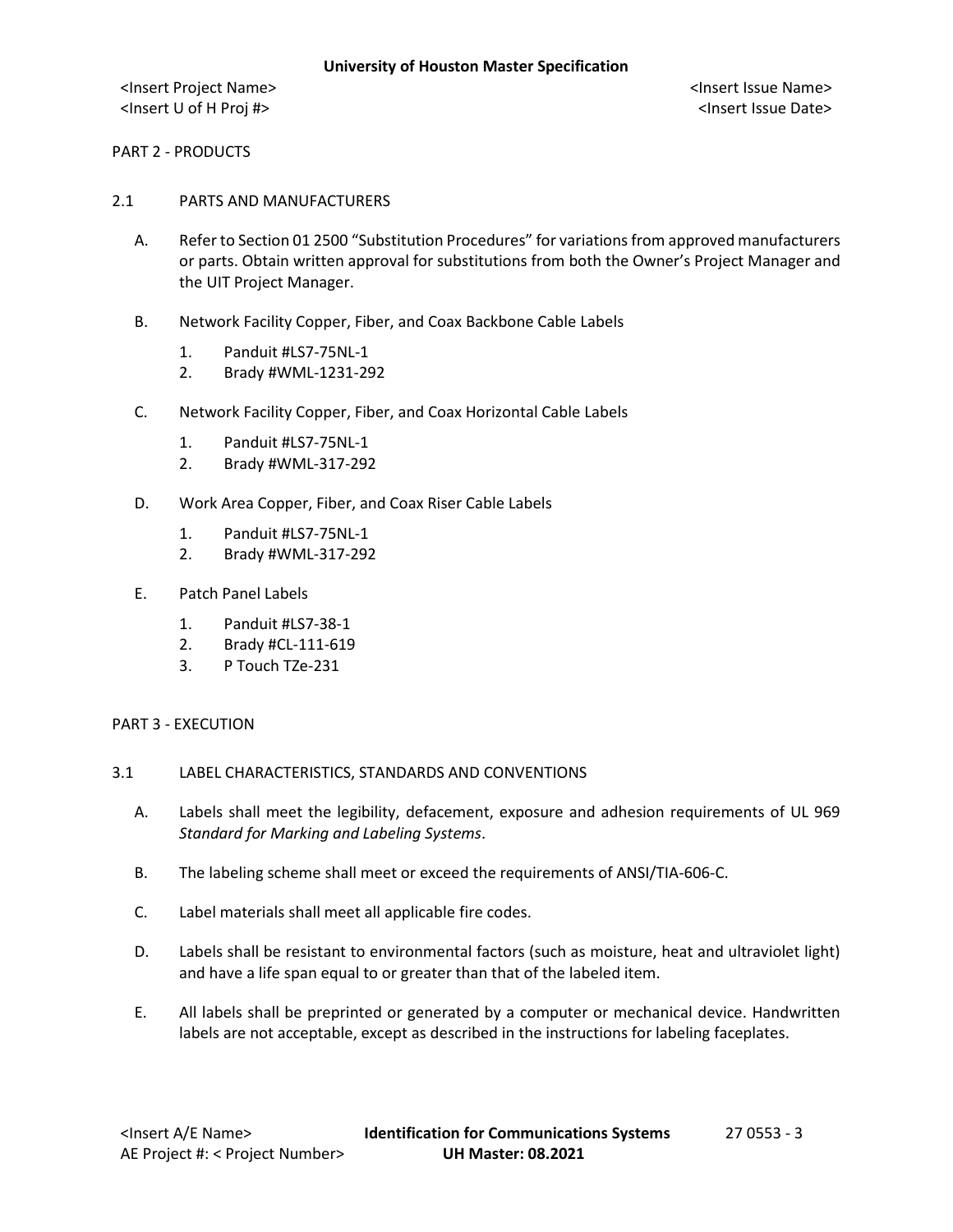PART 2 - PRODUCTS

- 2.1 PARTS AND MANUFACTURERS
	- A. Refer to Section 01 2500 "Substitution Procedures" for variations from approved manufacturers or parts. Obtain written approval for substitutions from both the Owner's Project Manager and the UIT Project Manager.
	- B. Network Facility Copper, Fiber, and Coax Backbone Cable Labels
		- 1. Panduit #LS7-75NL-1
		- 2. Brady #WML-1231-292
	- C. Network Facility Copper, Fiber, and Coax Horizontal Cable Labels
		- 1. Panduit #LS7-75NL-1
		- 2. Brady #WML-317-292
	- D. Work Area Copper, Fiber, and Coax Riser Cable Labels
		- 1. Panduit #LS7-75NL-1
		- 2. Brady #WML-317-292
	- E. Patch Panel Labels
		- 1. Panduit #LS7-38-1
		- 2. Brady #CL-111-619
		- 3. P Touch TZe-231

### PART 3 - EXECUTION

- 3.1 LABEL CHARACTERISTICS, STANDARDS AND CONVENTIONS
	- A. Labels shall meet the legibility, defacement, exposure and adhesion requirements of UL 969 *Standard for Marking and Labeling Systems*.
	- B. The labeling scheme shall meet or exceed the requirements of ANSI/TIA-606-C.
	- C. Label materials shall meet all applicable fire codes.
	- D. Labels shall be resistant to environmental factors (such as moisture, heat and ultraviolet light) and have a life span equal to or greater than that of the labeled item.
	- E. All labels shall be preprinted or generated by a computer or mechanical device. Handwritten labels are not acceptable, except as described in the instructions for labeling faceplates.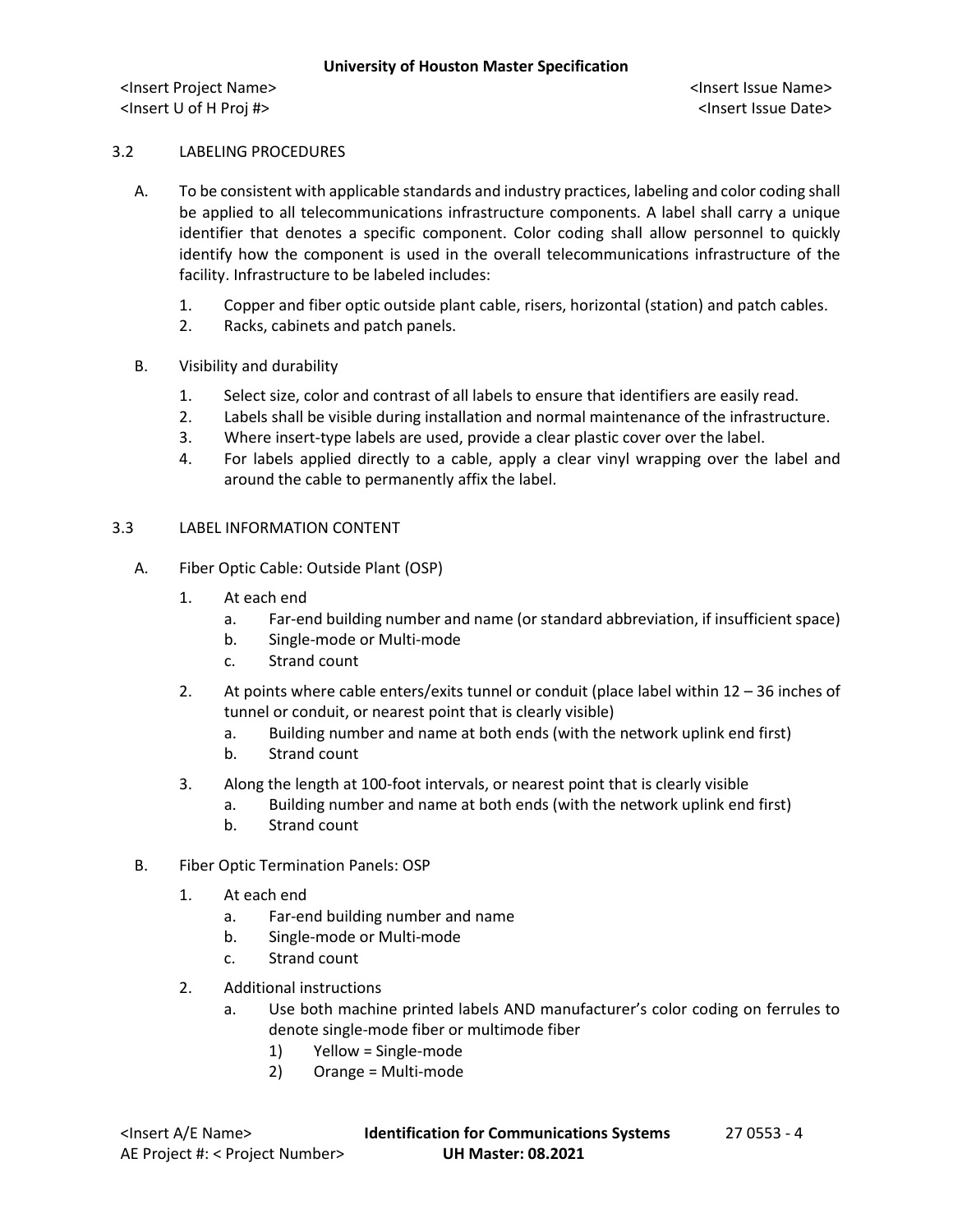## 3.2 LABELING PROCEDURES

- A. To be consistent with applicable standards and industry practices, labeling and color coding shall be applied to all telecommunications infrastructure components. A label shall carry a unique identifier that denotes a specific component. Color coding shall allow personnel to quickly identify how the component is used in the overall telecommunications infrastructure of the facility. Infrastructure to be labeled includes:
	- 1. Copper and fiber optic outside plant cable, risers, horizontal (station) and patch cables.
	- 2. Racks, cabinets and patch panels.
- B. Visibility and durability
	- 1. Select size, color and contrast of all labels to ensure that identifiers are easily read.
	- 2. Labels shall be visible during installation and normal maintenance of the infrastructure.
	- 3. Where insert-type labels are used, provide a clear plastic cover over the label.
	- 4. For labels applied directly to a cable, apply a clear vinyl wrapping over the label and around the cable to permanently affix the label.

## 3.3 LABEL INFORMATION CONTENT

- A. Fiber Optic Cable: Outside Plant (OSP)
	- 1. At each end
		- a. Far-end building number and name (or standard abbreviation, if insufficient space)
		- b. Single-mode or Multi-mode
		- c. Strand count
	- 2. At points where cable enters/exits tunnel or conduit (place label within 12 36 inches of tunnel or conduit, or nearest point that is clearly visible)
		- a. Building number and name at both ends (with the network uplink end first)
		- b. Strand count
	- 3. Along the length at 100-foot intervals, or nearest point that is clearly visible
		- a. Building number and name at both ends (with the network uplink end first)
		- b. Strand count
- B. Fiber Optic Termination Panels: OSP
	- 1. At each end
		- a. Far-end building number and name
		- b. Single-mode or Multi-mode
		- c. Strand count
	- 2. Additional instructions
		- a. Use both machine printed labels AND manufacturer's color coding on ferrules to denote single-mode fiber or multimode fiber
			- 1) Yellow = Single-mode
			- 2) Orange = Multi-mode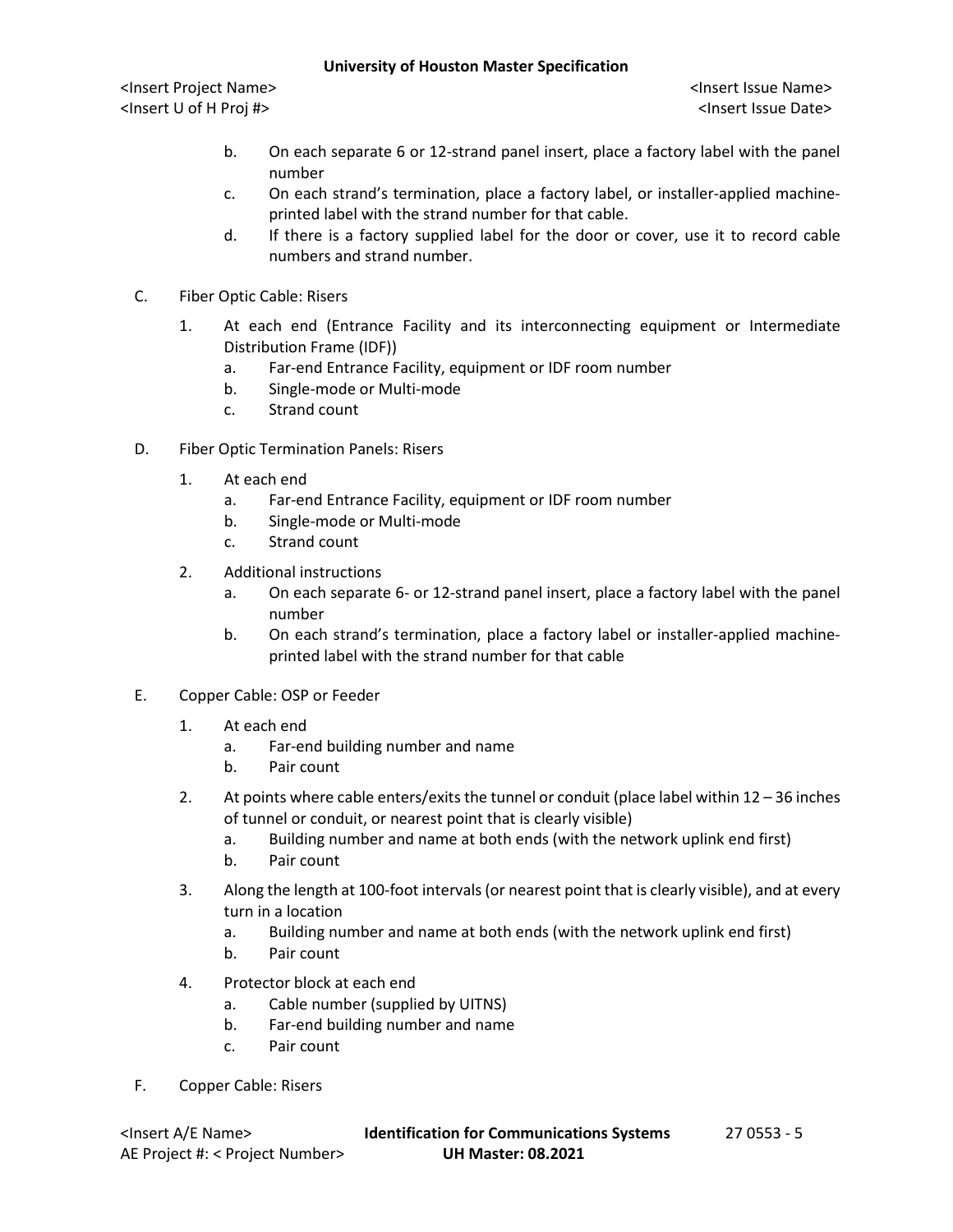## **University of Houston Master Specification**

<Insert Project Name> <Insert Issue Name> <Insert U of H Proj #> <Insert Issue Date>

- b. On each separate 6 or 12-strand panel insert, place a factory label with the panel number
- c. On each strand's termination, place a factory label, or installer-applied machineprinted label with the strand number for that cable.
- d. If there is a factory supplied label for the door or cover, use it to record cable numbers and strand number.
- C. Fiber Optic Cable: Risers
	- 1. At each end (Entrance Facility and its interconnecting equipment or Intermediate Distribution Frame (IDF))
		- a. Far-end Entrance Facility, equipment or IDF room number
		- b. Single-mode or Multi-mode
		- c. Strand count
- D. Fiber Optic Termination Panels: Risers
	- 1. At each end
		- a. Far-end Entrance Facility, equipment or IDF room number
		- b. Single-mode or Multi-mode
		- c. Strand count
	- 2. Additional instructions
		- a. On each separate 6- or 12-strand panel insert, place a factory label with the panel number
		- b. On each strand's termination, place a factory label or installer-applied machineprinted label with the strand number for that cable
- E. Copper Cable: OSP or Feeder
	- 1. At each end
		- a. Far-end building number and name
		- b. Pair count
	- 2. At points where cable enters/exits the tunnel or conduit (place label within 12 36 inches of tunnel or conduit, or nearest point that is clearly visible)
		- a. Building number and name at both ends (with the network uplink end first)
		- b. Pair count
	- 3. Along the length at 100-foot intervals (or nearest point that is clearly visible), and at every turn in a location
		- a. Building number and name at both ends (with the network uplink end first)
		- b. Pair count
	- 4. Protector block at each end
		- a. Cable number (supplied by UITNS)
		- b. Far-end building number and name
		- c. Pair count
- F. Copper Cable: Risers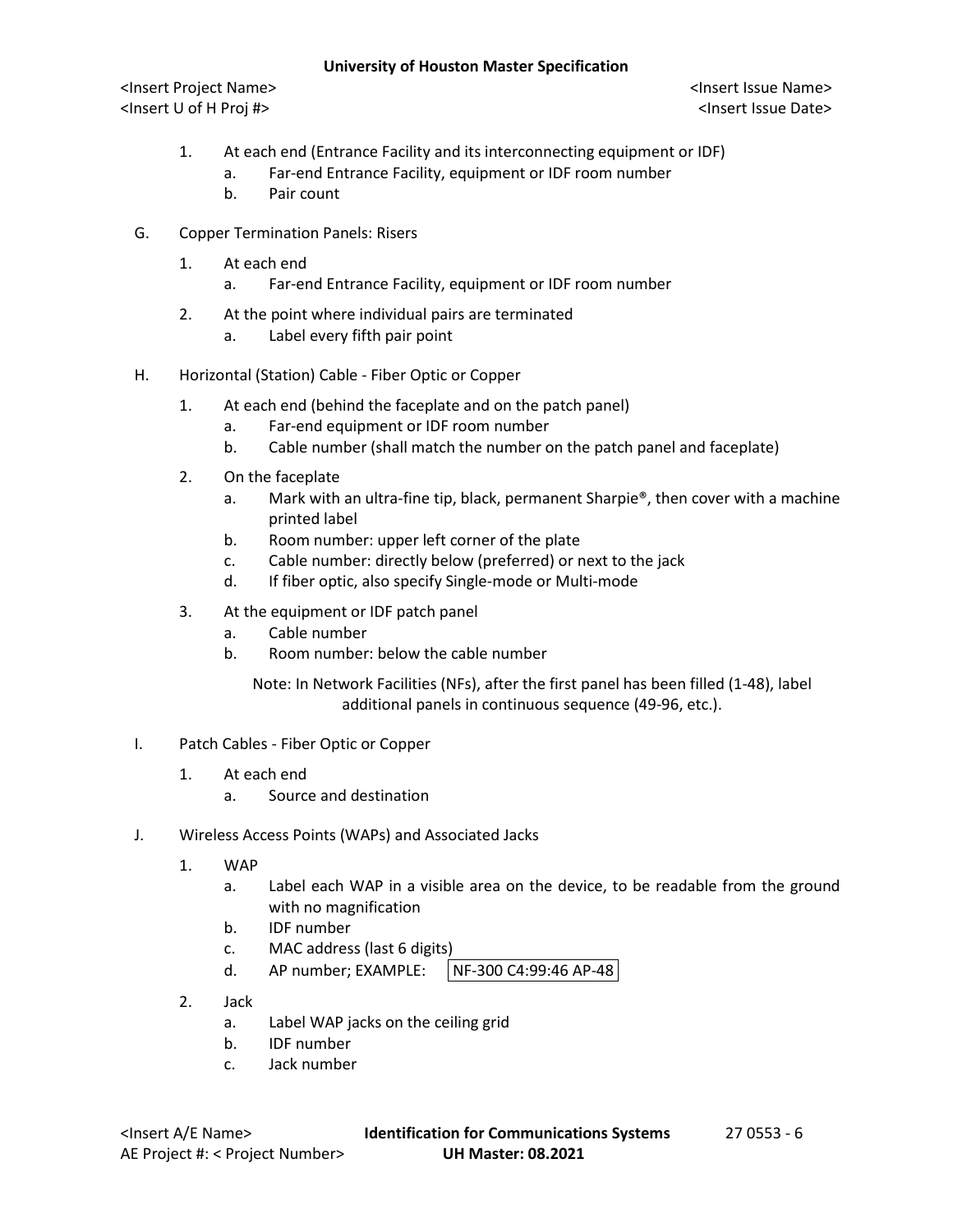## **University of Houston Master Specification**

<Insert Project Name> <Insert Issue Name> <Insert U of H Proj #> <Insert Issue Date>

- 1. At each end (Entrance Facility and its interconnecting equipment or IDF)
	- a. Far-end Entrance Facility, equipment or IDF room number
	- b. Pair count
- G. Copper Termination Panels: Risers
	- 1. At each end
		- a. Far-end Entrance Facility, equipment or IDF room number
	- 2. At the point where individual pairs are terminated
		- a. Label every fifth pair point
- H. Horizontal (Station) Cable Fiber Optic or Copper
	- 1. At each end (behind the faceplate and on the patch panel)
		- a. Far-end equipment or IDF room number
		- b. Cable number (shall match the number on the patch panel and faceplate)
	- 2. On the faceplate
		- a. Mark with an ultra-fine tip, black, permanent Sharpie®, then cover with a machine printed label
		- b. Room number: upper left corner of the plate
		- c. Cable number: directly below (preferred) or next to the jack
		- d. If fiber optic, also specify Single-mode or Multi-mode
	- 3. At the equipment or IDF patch panel
		- a. Cable number
		- b. Room number: below the cable number

Note: In Network Facilities (NFs), after the first panel has been filled (1-48), label additional panels in continuous sequence (49-96, etc.).

- I. Patch Cables Fiber Optic or Copper
	- 1. At each end
		- a. Source and destination
- J. Wireless Access Points (WAPs) and Associated Jacks
	- 1. WAP
		- a. Label each WAP in a visible area on the device, to be readable from the ground with no magnification
		- b. IDF number
		- c. MAC address (last 6 digits)
		- d. AP number; EXAMPLE: | NF-300 C4:99:46 AP-48
	- 2. Jack
		- a. Label WAP jacks on the ceiling grid
		- b. IDF number
		- c. Jack number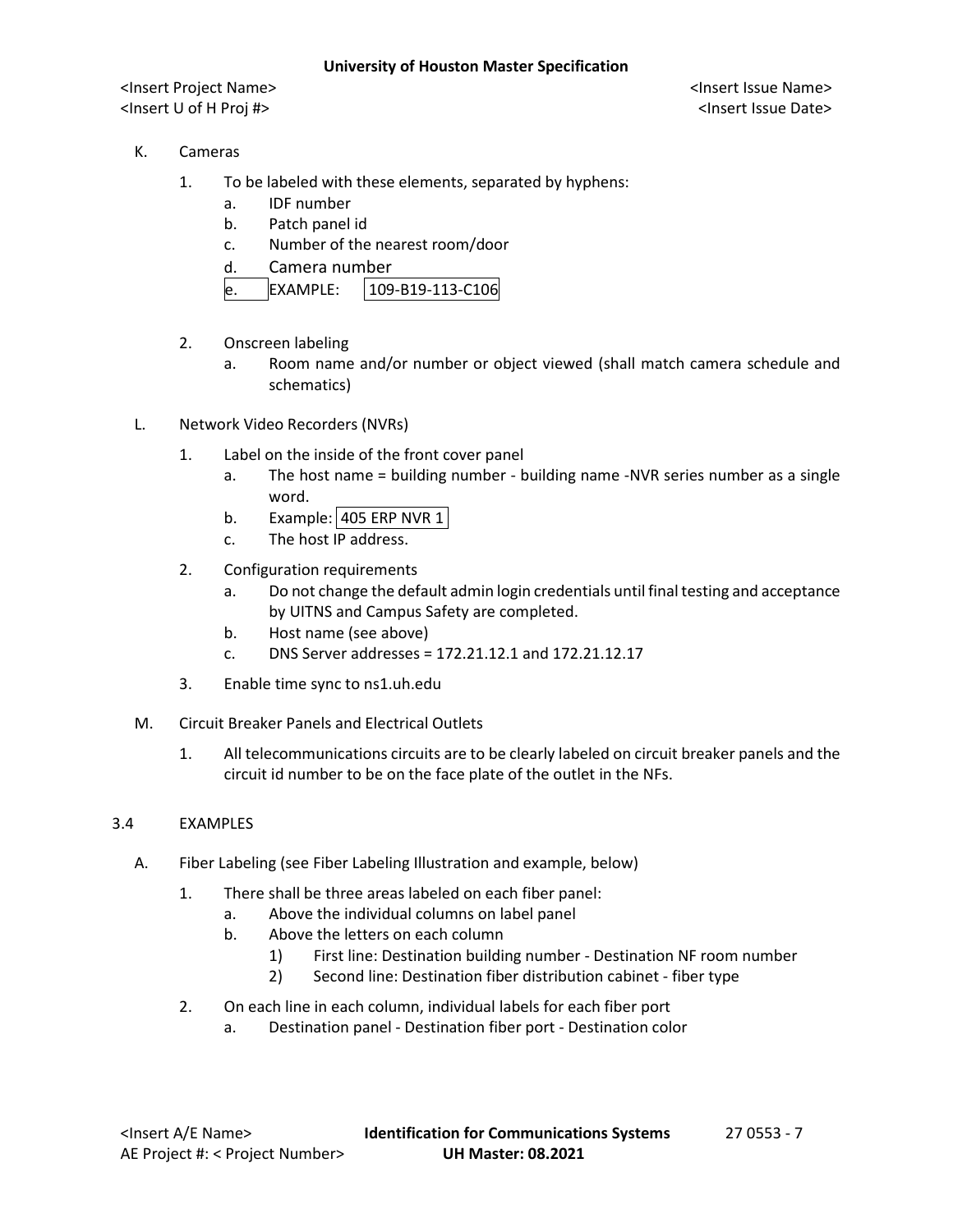- K. Cameras
	- 1. To be labeled with these elements, separated by hyphens:
		- a. IDF number
		- b. Patch panel id
		- c. Number of the nearest room/door
		- d. Camera number

| FXAMPIF: | 109-B19-113-C106 |
|----------|------------------|
|----------|------------------|

- 2. Onscreen labeling
	- a. Room name and/or number or object viewed (shall match camera schedule and schematics)
- L. Network Video Recorders (NVRs)
	- 1. Label on the inside of the front cover panel
		- a. The host name = building number building name -NVR series number as a single word.
		- b. Example: 405 ERP NVR 1
		- c. The host IP address.
	- 2. Configuration requirements
		- a. Do not change the default admin login credentials until final testing and acceptance by UITNS and Campus Safety are completed.
		- b. Host name (see above)
		- c. DNS Server addresses = 172.21.12.1 and 172.21.12.17
	- 3. Enable time sync to ns1.uh.edu
- M. Circuit Breaker Panels and Electrical Outlets
	- 1. All telecommunications circuits are to be clearly labeled on circuit breaker panels and the circuit id number to be on the face plate of the outlet in the NFs.

## 3.4 EXAMPLES

- A. Fiber Labeling (see Fiber Labeling Illustration and example, below)
	- 1. There shall be three areas labeled on each fiber panel:
		- a. Above the individual columns on label panel
		- b. Above the letters on each column
			- 1) First line: Destination building number Destination NF room number
			- 2) Second line: Destination fiber distribution cabinet fiber type
	- 2. On each line in each column, individual labels for each fiber port
		- a. Destination panel Destination fiber port Destination color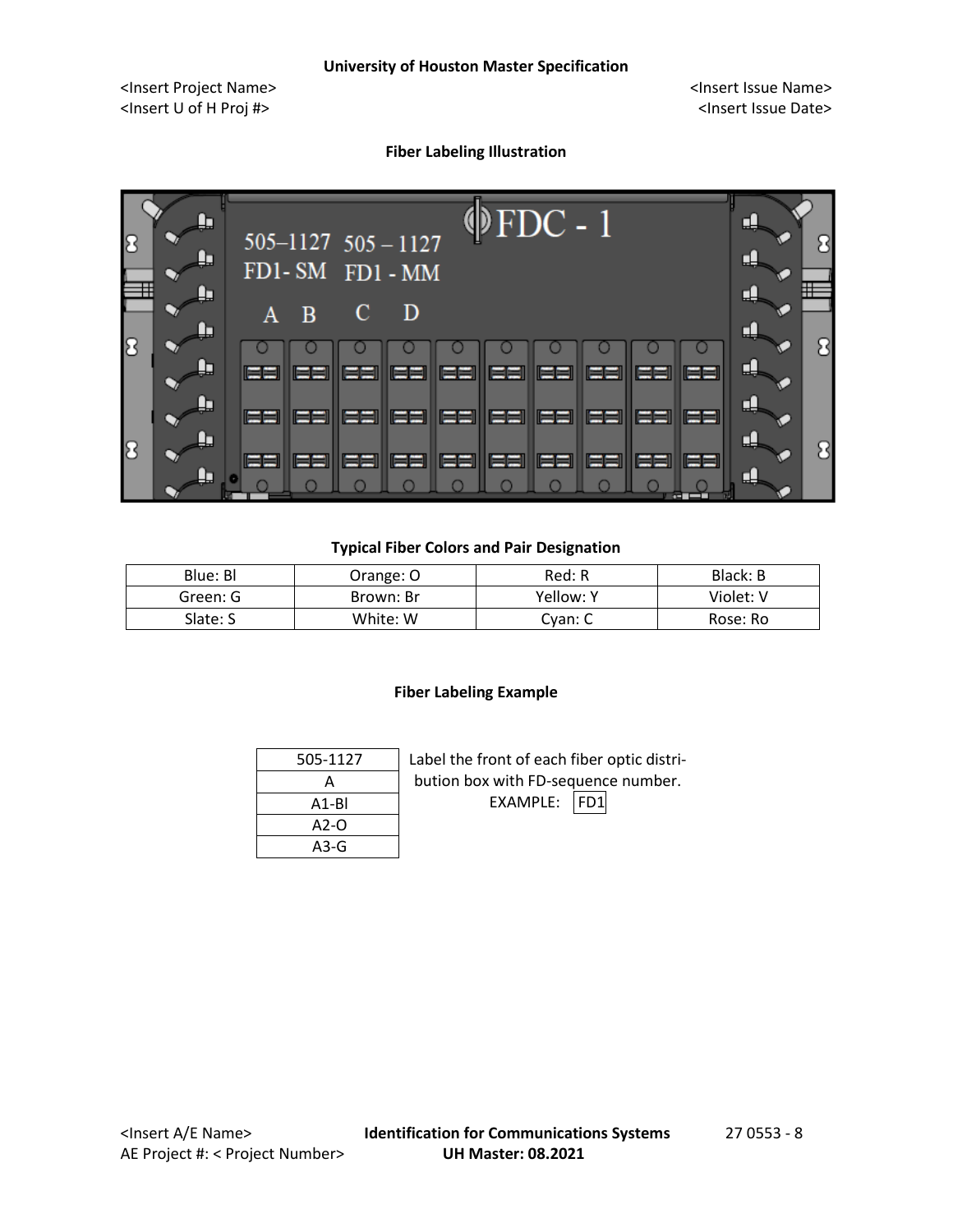## **Fiber Labeling Illustration**



## **Typical Fiber Colors and Pair Designation**

| Blue: Bl | Orange: O | Red: R    | Black: B  |
|----------|-----------|-----------|-----------|
| Green: G | Brown: Br | Yellow: Y | Violet: V |
| Slate: S | White: W  | Cvan: C   | Rose: Ro  |

## **Fiber Labeling Example**

| 505-1127 | Label the front of each fiber optic distri- |  |  |  |
|----------|---------------------------------------------|--|--|--|
|          | bution box with FD-sequence number.         |  |  |  |
| $A1-BI$  | EXAMPLE:<br>IFD1                            |  |  |  |
| $A2-O$   |                                             |  |  |  |
| A3-G     |                                             |  |  |  |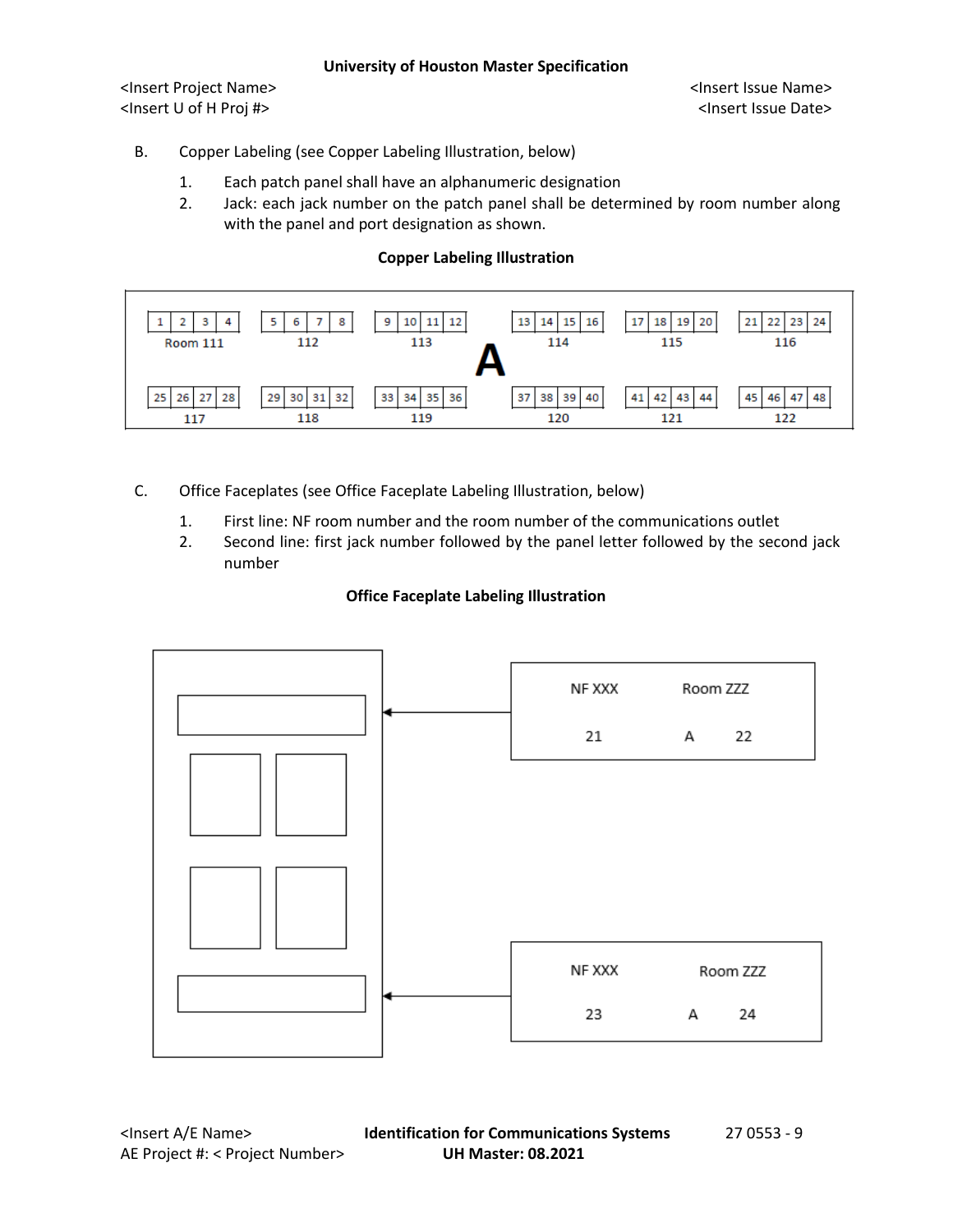## B. Copper Labeling (see Copper Labeling Illustration, below)

- 1. Each patch panel shall have an alphanumeric designation
- 2. Jack: each jack number on the patch panel shall be determined by room number along with the panel and port designation as shown.

## **Copper Labeling Illustration**

| 3<br>4<br><b>Room 111</b>     | 5.<br>8<br>6<br>112         | 12<br>9<br>11<br>10<br>113 | 16<br>$14 \mid 15 \mid$<br>13<br>114 | 19<br>20<br>18<br>17<br>115 | 23<br>21<br>24<br>22 <sub>1</sub><br>116 |
|-------------------------------|-----------------------------|----------------------------|--------------------------------------|-----------------------------|------------------------------------------|
| 27<br>26<br>25 I<br>28<br>117 | 29<br>32<br>30<br>31<br>118 | 35 36<br>34<br>33<br>119   | 38 39 40<br>37<br>120                | 41<br>43<br>42<br>44<br>121 | 45<br>47<br>48<br>46<br>122              |

- C. Office Faceplates (see Office Faceplate Labeling Illustration, below)
	- 1. First line: NF room number and the room number of the communications outlet
	- 2. Second line: first jack number followed by the panel letter followed by the second jack number

## **Office Faceplate Labeling Illustration**